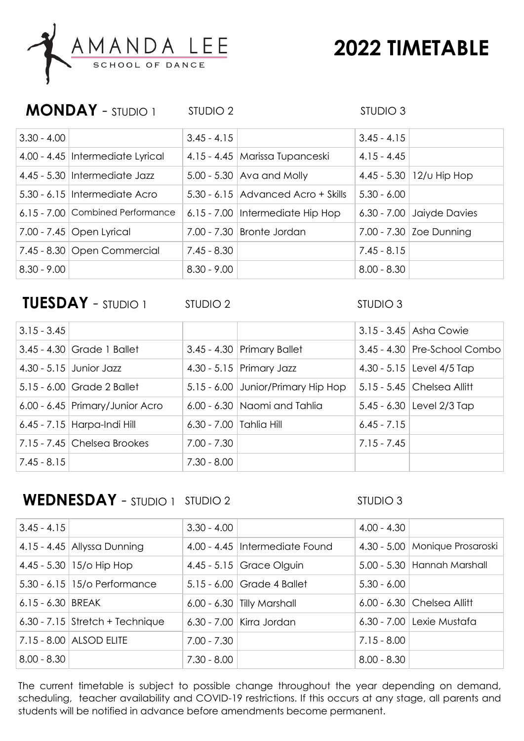

# **2022 TIMETABLE**

### **MONDAY** - STUDIO 1 STUDIO 2

STUDIO 3

| $3.30 - 4.00$ |                                  | $3.45 - 4.15$ |                                      | $3.45 - 4.15$ |                                  |
|---------------|----------------------------------|---------------|--------------------------------------|---------------|----------------------------------|
|               | 4.00 - 4.45 Intermediate Lyrical |               | 4.15 - 4.45   Marissa Tupanceski     | $4.15 - 4.45$ |                                  |
|               | 4.45 - 5.30 Intermediate Jazz    |               | $5.00 - 5.30$ Ava and Molly          |               | 4.45 - 5.30   12/ $\cup$ Hip Hop |
|               | $5.30 - 6.15$ Intermediate Acro  |               | $5.30 - 6.15$ Advanced Acro + Skills | $5.30 - 6.00$ |                                  |
|               | 6.15 - 7.00 Combined Performance |               | 6.15 - 7.00 Intermediate Hip Hop     |               | 6.30 - 7.00 Jaiyde Davies        |
|               | 7.00 - 7.45 Open Lyrical         |               | 7.00 - 7.30   Bronte Jordan          |               | 7.00 - 7.30 Zoe Dunning          |
|               | $7.45 - 8.30$ Open Commercial    | $7.45 - 8.30$ |                                      | $7.45 - 8.15$ |                                  |
| $8.30 - 9.00$ |                                  | $8.30 - 9.00$ |                                      | $8.00 - 8.30$ |                                  |

### **TUESDAY** - STUDIO 1 STUDIO 2

#### STUDIO 3

| $3.15 - 3.45$ |                                 |                         |                                    |               | 3.15 - 3.45 Asha Cowie         |
|---------------|---------------------------------|-------------------------|------------------------------------|---------------|--------------------------------|
|               | $3.45 - 4.30$ Grade 1 Ballet    |                         | $3.45 - 4.30$ Primary Ballet       |               | $3.45 - 4.30$ Pre-School Combo |
|               | $4.30 - 5.15$ Junior Jazz       |                         | 4.30 - 5.15 Primary Jazz           |               | 4.30 - 5.15 Level 4/5 Tap      |
|               | $5.15 - 6.00$ Grade 2 Ballet    |                         | 5.15 - 6.00 Junior/Primary Hip Hop |               | $5.15 - 5.45$ Chelsea Allitt   |
|               | 6.00 - 6.45 Primary/Junior Acro |                         | 6.00 - 6.30   Naomi and Tahlia     |               | 5.45 - 6.30 Level 2/3 Tap      |
|               | 6.45 - 7.15   Harpa-Indi Hill   | 6.30 - 7.00 Tahlia Hill |                                    | $6.45 - 7.15$ |                                |
|               | $7.15 - 7.45$ Chelsea Brookes   | $7.00 - 7.30$           |                                    | $7.15 - 7.45$ |                                |
| $7.45 - 8.15$ |                                 | $7.30 - 8.00$           |                                    |               |                                |
|               |                                 |                         |                                    |               |                                |

## **WEDNESDAY** - STUDIO 1 STUDIO 2

STUDIO 3

| $3.45 - 4.15$       |                                 | $3.30 - 4.00$ |                                | $4.00 - 4.30$ |                                  |
|---------------------|---------------------------------|---------------|--------------------------------|---------------|----------------------------------|
|                     | 4.15 - 4.45 Allyssa Dunning     |               | 4.00 - 4.45 Intermediate Found |               | 4.30 - 5.00   Monique Prosaroski |
|                     | 4.45 - 5.30   15/0 Hip Hop      |               | 4.45 - 5.15 Grace Olguin       |               | 5.00 - 5.30 Hannah Marshall      |
|                     | $5.30 - 6.15$ 15/0 Performance  |               | $5.15 - 6.00$ Grade 4 Ballet   | $5.30 - 6.00$ |                                  |
| $6.15 - 6.30$ BREAK |                                 |               | $6.00 - 6.30$ Tilly Marshall   |               | 6.00 - 6.30   Chelsea Allitt     |
|                     | 6.30 - 7.15 Stretch + Technique |               | 6.30 - 7.00   Kirra Jordan     |               | $6.30 - 7.00$ Lexie Mustafa      |
|                     | 7.15 - 8.00 ALSOD ELITE         | $7.00 - 7.30$ |                                | $7.15 - 8.00$ |                                  |
| $8.00 - 8.30$       |                                 | $7.30 - 8.00$ |                                | $8.00 - 8.30$ |                                  |

The current timetable is subject to possible change throughout the year depending on demand, scheduling, teacher availability and COVID-19 restrictions. If this occurs at any stage, all parents and students will be notified in advance before amendments become permanent.